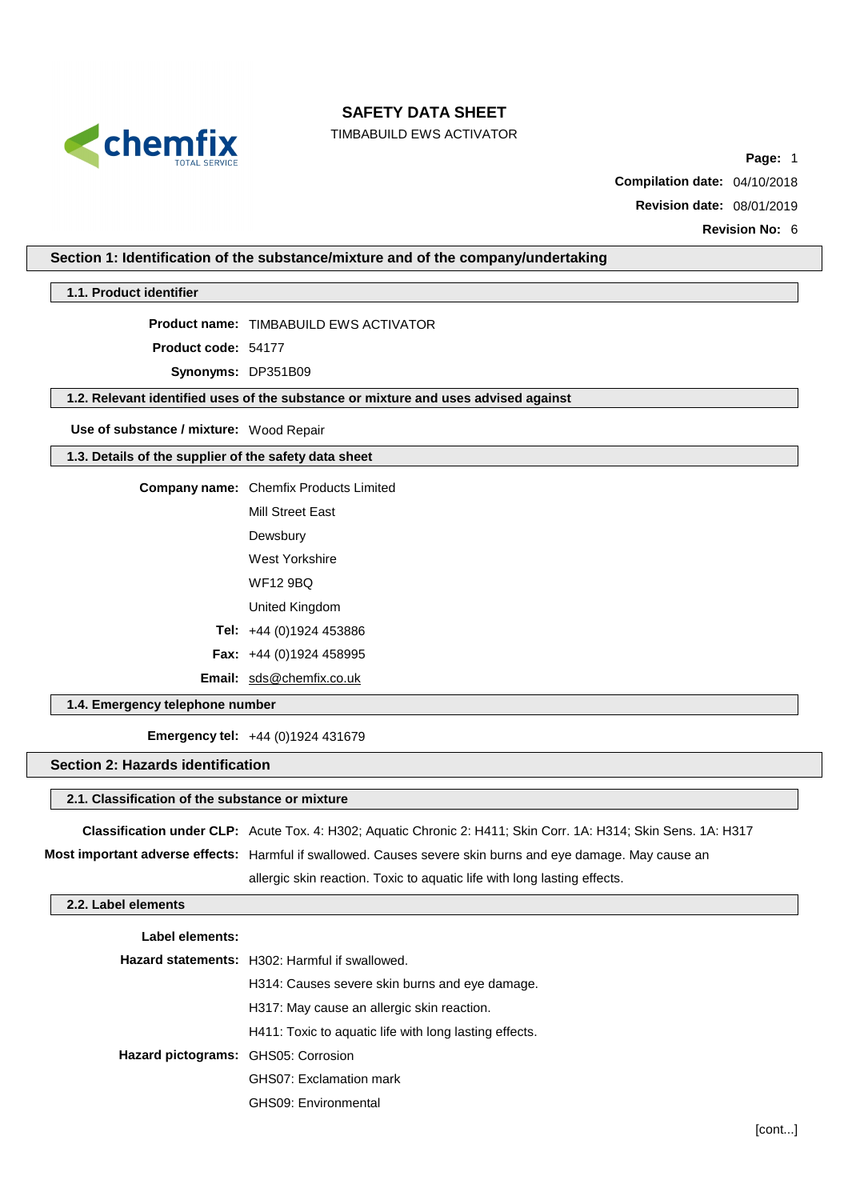

TIMBABUILD EWS ACTIVATOR

**Page:** 1

**Compilation date:** 04/10/2018

**Revision date:** 08/01/2019

**Revision No:** 6

## **Section 1: Identification of the substance/mixture and of the company/undertaking**

**1.1. Product identifier**

**Product name:** TIMBABUILD EWS ACTIVATOR

**Product code:** 54177

**Synonyms:** DP351B09

**1.2. Relevant identified uses of the substance or mixture and uses advised against**

**Use of substance / mixture:** Wood Repair

#### **1.3. Details of the supplier of the safety data sheet**

**Company name:** Chemfix Products Limited

Mill Street East

Dewsbury

West Yorkshire

WF12 9BQ

United Kingdom

**Tel:** +44 (0)1924 453886

**Fax:** +44 (0)1924 458995

**Email:** [sds@chemfix.co.uk](mailto:sds@chemfix.co.uk)

## **1.4. Emergency telephone number**

**Emergency tel:** +44 (0)1924 431679

### **Section 2: Hazards identification**

#### **2.1. Classification of the substance or mixture**

**Classification under CLP:** Acute Tox. 4: H302; Aquatic Chronic 2: H411; Skin Corr. 1A: H314; Skin Sens. 1A: H317

**Most important adverse effects:** Harmful if swallowed. Causes severe skin burns and eye damage. May cause an

allergic skin reaction. Toxic to aquatic life with long lasting effects.

### **2.2. Label elements**

| Label elements:                            |                                                        |
|--------------------------------------------|--------------------------------------------------------|
|                                            | <b>Hazard statements:</b> H302: Harmful if swallowed.  |
|                                            | H314: Causes severe skin burns and eye damage.         |
|                                            | H317: May cause an allergic skin reaction.             |
|                                            | H411: Toxic to aquatic life with long lasting effects. |
| <b>Hazard pictograms:</b> GHS05: Corrosion |                                                        |
|                                            | GHS07: Exclamation mark                                |
|                                            | GHS09: Environmental                                   |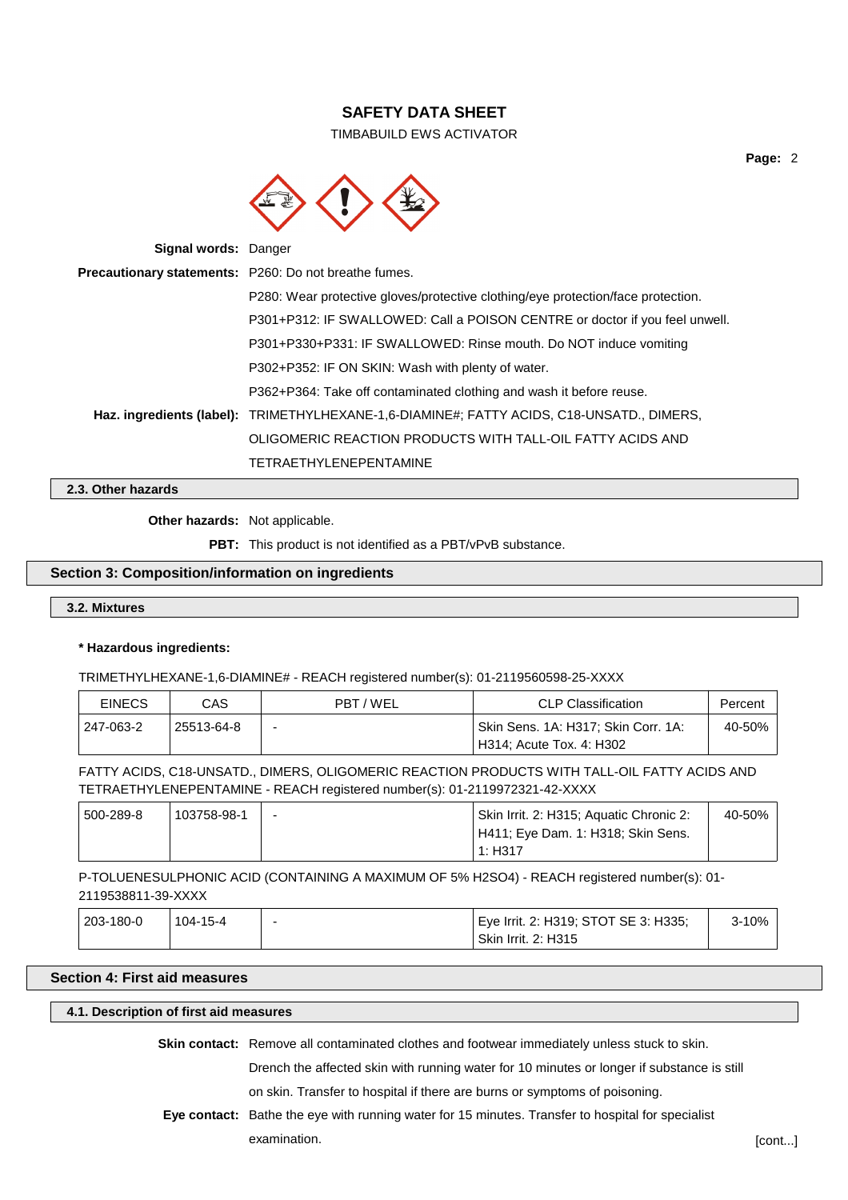TIMBABUILD EWS ACTIVATOR



**Signal words:** Danger **Precautionary statements:** P260: Do not breathe fumes. P280: Wear protective gloves/protective clothing/eye protection/face protection. P301+P312: IF SWALLOWED: Call a POISON CENTRE or doctor if you feel unwell. P301+P330+P331: IF SWALLOWED: Rinse mouth. Do NOT induce vomiting P302+P352: IF ON SKIN: Wash with plenty of water. P362+P364: Take off contaminated clothing and wash it before reuse. **Haz. ingredients (label):** TRIMETHYLHEXANE-1,6-DIAMINE#; FATTY ACIDS, C18-UNSATD., DIMERS, OLIGOMERIC REACTION PRODUCTS WITH TALL-OIL FATTY ACIDS AND TETRAETHYLENEPENTAMINE

**2.3. Other hazards**

**Other hazards:** Not applicable.

**PBT:** This product is not identified as a PBT/vPvB substance.

## **Section 3: Composition/information on ingredients**

#### **3.2. Mixtures**

#### **\* Hazardous ingredients:**

TRIMETHYLHEXANE-1,6-DIAMINE# - REACH registered number(s): 01-2119560598-25-XXXX

| EINECS    | CAS        | PBT/WEL                    | <b>CLP Classification</b>           | Percent |
|-----------|------------|----------------------------|-------------------------------------|---------|
| 247-063-2 | 25513-64-8 | -                          | Skin Sens. 1A: H317; Skin Corr. 1A: | 40-50%  |
|           |            | ' H314; Acute Tox. 4: H302 |                                     |         |

FATTY ACIDS, C18-UNSATD., DIMERS, OLIGOMERIC REACTION PRODUCTS WITH TALL-OIL FATTY ACIDS AND TETRAETHYLENEPENTAMINE - REACH registered number(s): 01-2119972321-42-XXXX

| 500-289-8 | 103758-98-1 | $\overline{\phantom{0}}$ | Skin Irrit. 2: H315; Aquatic Chronic 2: | 40-50% |
|-----------|-------------|--------------------------|-----------------------------------------|--------|
|           |             |                          | H411; Eye Dam. 1: H318; Skin Sens.      |        |
|           |             |                          | 1: H317                                 |        |

P-TOLUENESULPHONIC ACID (CONTAINING A MAXIMUM OF 5% H2SO4) - REACH registered number(s): 01- 2119538811-39-XXXX

| <sup>1</sup> 203-180-0 | 104-15-4 | Eye Irrit. 2: H319; STOT SE 3: H335; | $3 - 10%$ |
|------------------------|----------|--------------------------------------|-----------|
|                        |          | ' Skin Irrit. 2: H315                |           |

# **Section 4: First aid measures**

### **4.1. Description of first aid measures**

**Skin contact:** Remove all contaminated clothes and footwear immediately unless stuck to skin.

Drench the affected skin with running water for 10 minutes or longer if substance is still

on skin. Transfer to hospital if there are burns or symptoms of poisoning.

**Eye contact:** Bathe the eye with running water for 15 minutes. Transfer to hospital for specialist examination. **Examination** control of the set of the set of the set of the set of the set of the set of the set of the set of the set of the set of the set of the set of the set of the set of the set of the set of the set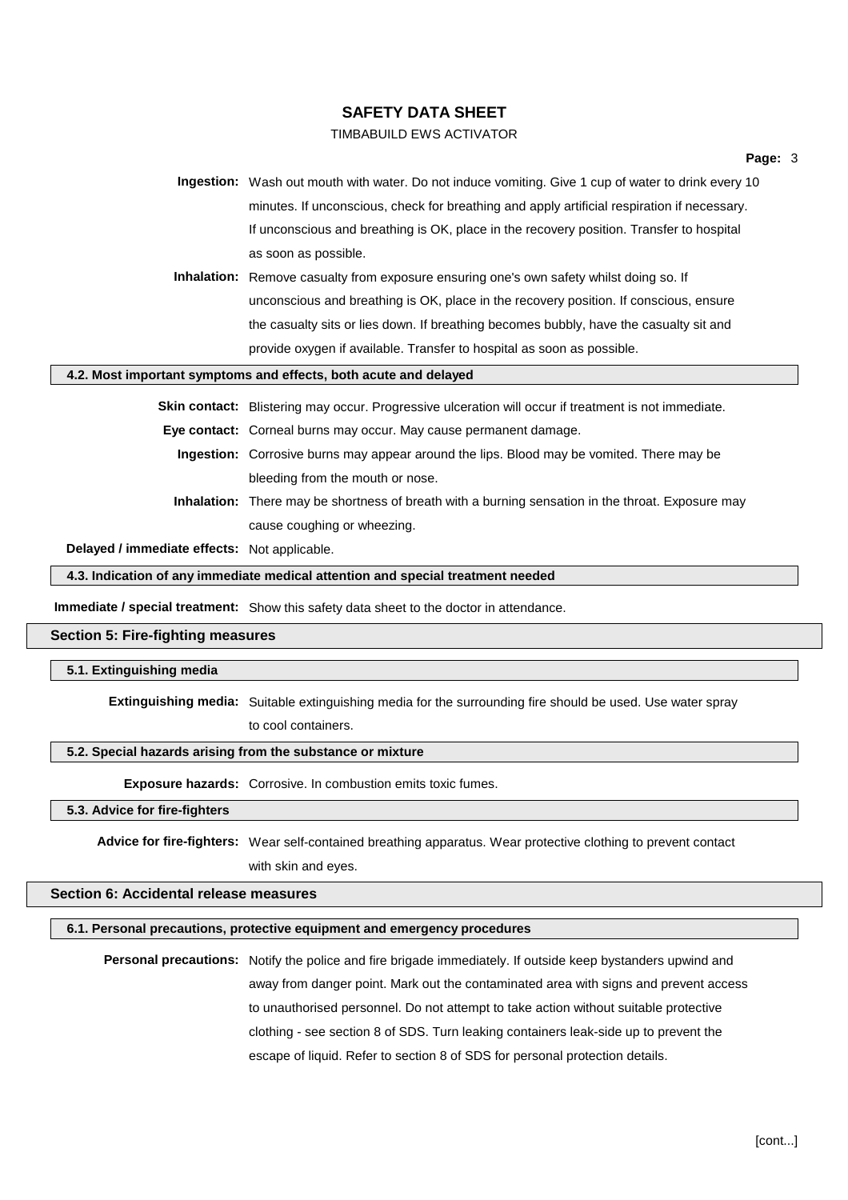## TIMBABUILD EWS ACTIVATOR

**Ingestion:** Wash out mouth with water. Do not induce vomiting. Give 1 cup of water to drink every 10 minutes. If unconscious, check for breathing and apply artificial respiration if necessary. If unconscious and breathing is OK, place in the recovery position. Transfer to hospital as soon as possible.

**Inhalation:** Remove casualty from exposure ensuring one's own safety whilst doing so. If unconscious and breathing is OK, place in the recovery position. If conscious, ensure the casualty sits or lies down. If breathing becomes bubbly, have the casualty sit and provide oxygen if available. Transfer to hospital as soon as possible.

#### **4.2. Most important symptoms and effects, both acute and delayed**

**Skin contact:** Blistering may occur. Progressive ulceration will occur if treatment is not immediate.

**Eye contact:** Corneal burns may occur. May cause permanent damage.

- **Ingestion:** Corrosive burns may appear around the lips. Blood may be vomited. There may be bleeding from the mouth or nose.
- **Inhalation:** There may be shortness of breath with a burning sensation in the throat. Exposure may cause coughing or wheezing.

**Delayed / immediate effects:** Not applicable.

**4.3. Indication of any immediate medical attention and special treatment needed**

**Immediate / special treatment:** Show this safety data sheet to the doctor in attendance.

### **Section 5: Fire-fighting measures**

#### **5.1. Extinguishing media**

**Extinguishing media:** Suitable extinguishing media for the surrounding fire should be used. Use water spray

to cool containers.

#### **5.2. Special hazards arising from the substance or mixture**

**Exposure hazards:** Corrosive. In combustion emits toxic fumes.

#### **5.3. Advice for fire-fighters**

**Advice for fire-fighters:** Wear self-contained breathing apparatus. Wear protective clothing to prevent contact with skin and eyes.

### **Section 6: Accidental release measures**

#### **6.1. Personal precautions, protective equipment and emergency procedures**

**Personal precautions:** Notify the police and fire brigade immediately. If outside keep bystanders upwind and away from danger point. Mark out the contaminated area with signs and prevent access to unauthorised personnel. Do not attempt to take action without suitable protective clothing - see section 8 of SDS. Turn leaking containers leak-side up to prevent the escape of liquid. Refer to section 8 of SDS for personal protection details.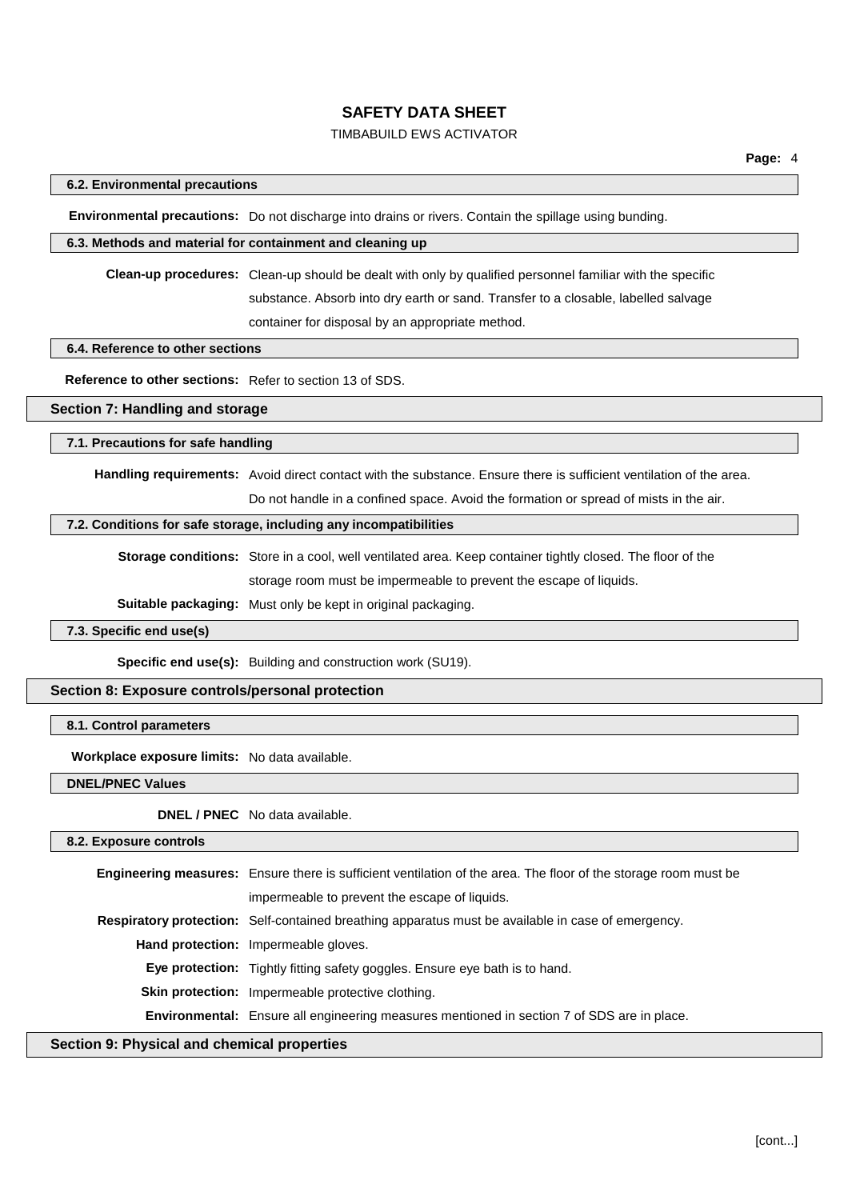# TIMBABUILD EWS ACTIVATOR

## **6.2. Environmental precautions**

**Environmental precautions:** Do not discharge into drains or rivers. Contain the spillage using bunding.

#### **6.3. Methods and material for containment and cleaning up**

**Clean-up procedures:** Clean-up should be dealt with only by qualified personnel familiar with the specific substance. Absorb into dry earth or sand. Transfer to a closable, labelled salvage container for disposal by an appropriate method.

#### **6.4. Reference to other sections**

**Reference to other sections:** Refer to section 13 of SDS.

## **Section 7: Handling and storage**

#### **7.1. Precautions for safe handling**

**Handling requirements:** Avoid direct contact with the substance. Ensure there is sufficient ventilation of the area. Do not handle in a confined space. Avoid the formation or spread of mists in the air.

#### **7.2. Conditions for safe storage, including any incompatibilities**

**Storage conditions:** Store in a cool, well ventilated area. Keep container tightly closed. The floor of the storage room must be impermeable to prevent the escape of liquids.

**Suitable packaging:** Must only be kept in original packaging.

#### **7.3. Specific end use(s)**

**Specific end use(s):** Building and construction work (SU19).

#### **Section 8: Exposure controls/personal protection**

## **8.1. Control parameters**

**Workplace exposure limits:** No data available.

**DNEL/PNEC Values**

**DNEL / PNEC** No data available.

#### **8.2. Exposure controls**

**Engineering measures:** Ensure there is sufficient ventilation of the area. The floor of the storage room must be impermeable to prevent the escape of liquids. **Respiratory protection:** Self-contained breathing apparatus must be available in case of emergency. **Hand protection:** Impermeable gloves. **Eye protection:** Tightly fitting safety goggles. Ensure eye bath is to hand. **Skin protection:** Impermeable protective clothing. **Environmental:** Ensure all engineering measures mentioned in section 7 of SDS are in place.

**Section 9: Physical and chemical properties**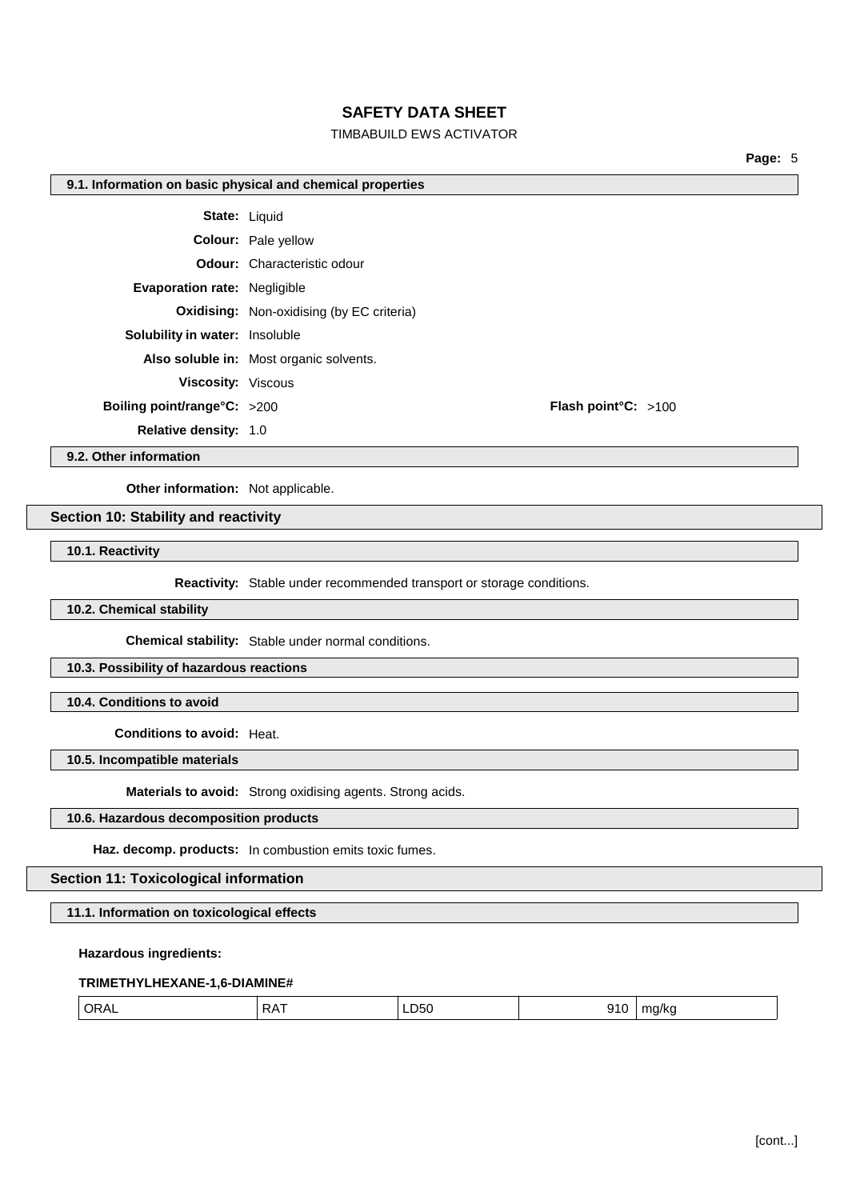## TIMBABUILD EWS ACTIVATOR

**Page:** 5

#### **9.1. Information on basic physical and chemical properties**

|                                       | <b>State: Liquid</b>                             |                               |  |
|---------------------------------------|--------------------------------------------------|-------------------------------|--|
|                                       | <b>Colour:</b> Pale yellow                       |                               |  |
|                                       | <b>Odour:</b> Characteristic odour               |                               |  |
| <b>Evaporation rate: Negligible</b>   |                                                  |                               |  |
|                                       | <b>Oxidising:</b> Non-oxidising (by EC criteria) |                               |  |
| <b>Solubility in water:</b> Insoluble |                                                  |                               |  |
|                                       | Also soluble in: Most organic solvents.          |                               |  |
| <b>Viscosity: Viscous</b>             |                                                  |                               |  |
| Boiling point/range $C: >200$         |                                                  | <b>Flash point °C:</b> $>100$ |  |
| <b>Relative density: 1.0</b>          |                                                  |                               |  |
|                                       |                                                  |                               |  |

**9.2. Other information**

**Other information:** Not applicable.

## **Section 10: Stability and reactivity**

**10.1. Reactivity**

**Reactivity:** Stable under recommended transport or storage conditions.

**10.2. Chemical stability**

**Chemical stability:** Stable under normal conditions.

**10.3. Possibility of hazardous reactions**

**10.4. Conditions to avoid**

**Conditions to avoid:** Heat.

**10.5. Incompatible materials**

**Materials to avoid:** Strong oxidising agents. Strong acids.

### **10.6. Hazardous decomposition products**

**Haz. decomp. products:** In combustion emits toxic fumes.

## **Section 11: Toxicological information**

**11.1. Information on toxicological effects**

**Hazardous ingredients:**

#### **TRIMETHYLHEXANE-1,6-DIAMINE#**

| ' ORAL<br>.<br>.D50<br>$^{\prime}$<br>ma/kr<br>.<br>$ -$<br>$ -$ |  |
|------------------------------------------------------------------|--|
|------------------------------------------------------------------|--|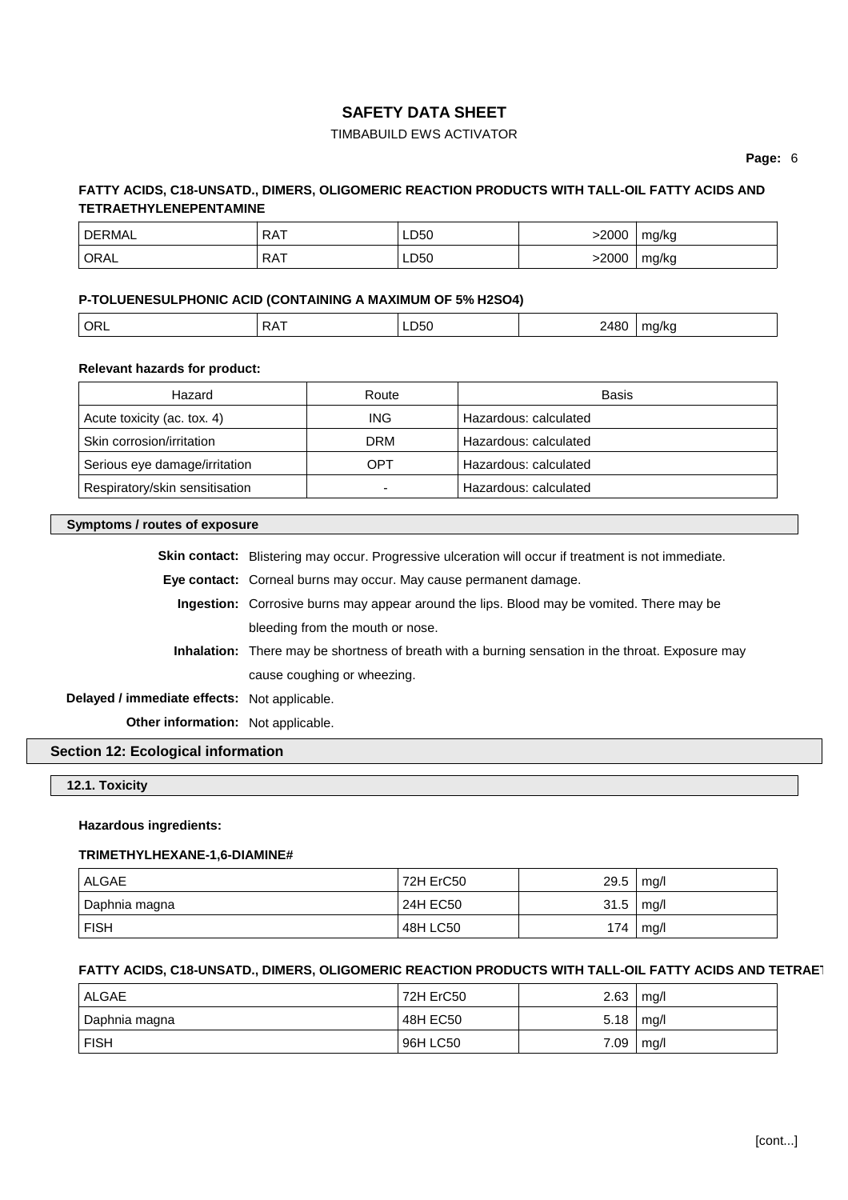# TIMBABUILD EWS ACTIVATOR

**Page:** 6

# **FATTY ACIDS, C18-UNSATD., DIMERS, OLIGOMERIC REACTION PRODUCTS WITH TALL-OIL FATTY ACIDS AND TETRAETHYLENEPENTAMINE**

| ' DERMAL | <b>RAT</b> | LD50 | 2000ء | mg/kg |
|----------|------------|------|-------|-------|
| ' ORAL   | <b>RAT</b> | LD50 | 2000  | mg/kg |

## **P-TOLUENESULPHONIC ACID (CONTAINING A MAXIMUM OF 5% H2SO4)**

| ORL | $PA^{\pi}$ | וורג<br>~~~<br>$ -$ | 3ABC<br>$\sim$ $\sim$ | u/kc<br>. . |
|-----|------------|---------------------|-----------------------|-------------|
|     |            |                     |                       |             |

## **Relevant hazards for product:**

| Hazard                         | Route | Basis                 |
|--------------------------------|-------|-----------------------|
| Acute toxicity (ac. tox. 4)    | ING.  | Hazardous: calculated |
| Skin corrosion/irritation      | DRM   | Hazardous: calculated |
| Serious eye damage/irritation  | OPT   | Hazardous: calculated |
| Respiratory/skin sensitisation |       | Hazardous: calculated |

## **Symptoms / routes of exposure**

|                                              | <b>Skin contact:</b> Blistering may occur. Progressive ulceration will occur if treatment is not immediate. |  |  |
|----------------------------------------------|-------------------------------------------------------------------------------------------------------------|--|--|
|                                              | Eye contact: Corneal burns may occur. May cause permanent damage.                                           |  |  |
|                                              | Ingestion: Corrosive burns may appear around the lips. Blood may be vomited. There may be                   |  |  |
|                                              | bleeding from the mouth or nose.                                                                            |  |  |
|                                              | <b>Inhalation:</b> There may be shortness of breath with a burning sensation in the throat. Exposure may    |  |  |
|                                              | cause coughing or wheezing.                                                                                 |  |  |
| Delayed / immediate effects: Not applicable. |                                                                                                             |  |  |
| <b>Other information:</b> Not applicable.    |                                                                                                             |  |  |

# **Section 12: Ecological information**

# **12.1. Toxicity**

## **Hazardous ingredients:**

## **TRIMETHYLHEXANE-1,6-DIAMINE#**

| ALGAE         | 72H ErC50 | 29.5 | mq/l |
|---------------|-----------|------|------|
| Daphnia magna | 24H EC50  | 31.5 | mq/l |
| <b>FISH</b>   | 48H LC50  | 174  | mq/l |

## **FATTY ACIDS, C18-UNSATD., DIMERS, OLIGOMERIC REACTION PRODUCTS WITH TALL-OIL FATTY ACIDS AND TETRAET**

| ALGAE         | 72H ErC50 | 2.63 | mq/l |
|---------------|-----------|------|------|
| Daphnia magna | 48H EC50  | 5.18 | mg/l |
| ∣ FISH        | 96H LC50  | 7.09 | mg/l |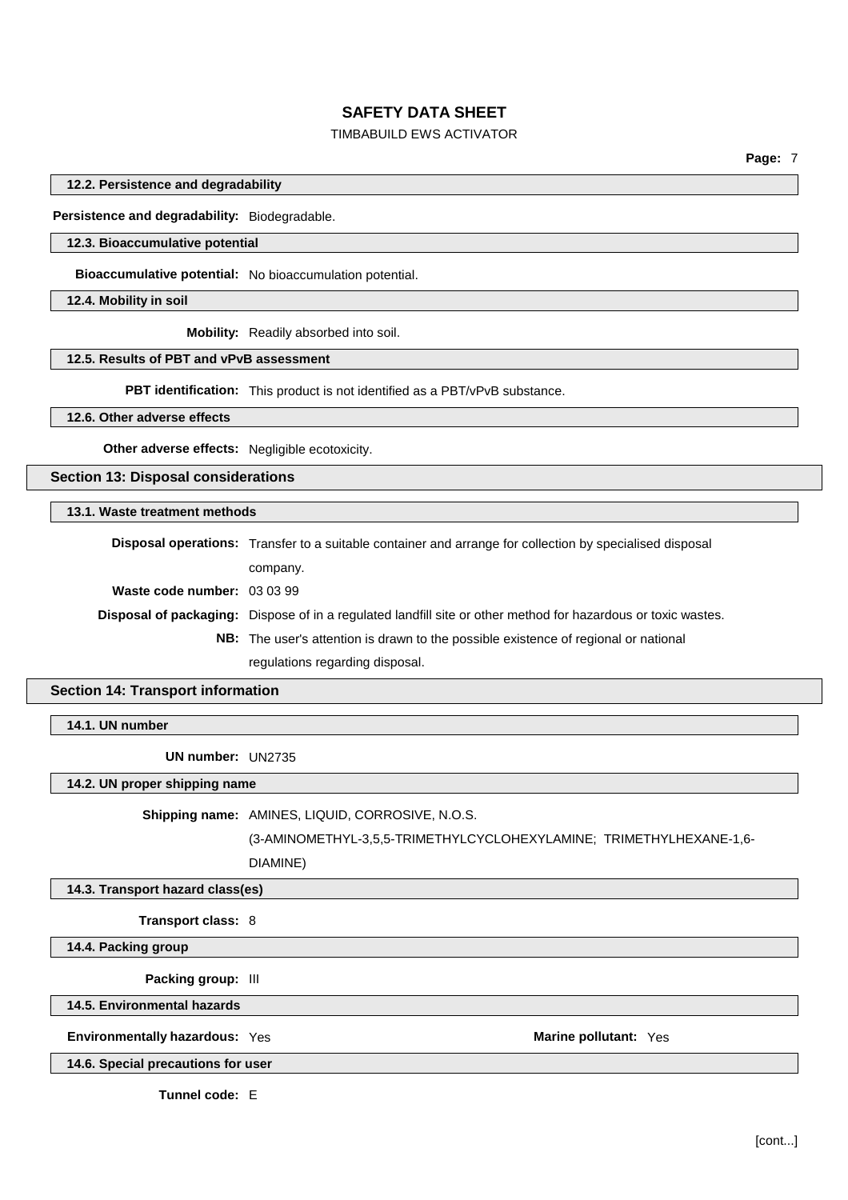# TIMBABUILD EWS ACTIVATOR

**Page:** 7

**12.2. Persistence and degradability**

**Persistence and degradability:** Biodegradable.

#### **12.3. Bioaccumulative potential**

**Bioaccumulative potential:** No bioaccumulation potential.

**12.4. Mobility in soil**

**Mobility:** Readily absorbed into soil.

### **12.5. Results of PBT and vPvB assessment**

**PBT identification:** This product is not identified as a PBT/vPvB substance.

**12.6. Other adverse effects**

**Other adverse effects:** Negligible ecotoxicity.

**Section 13: Disposal considerations**

## **13.1. Waste treatment methods**

|                             | <b>Disposal operations:</b> Transfer to a suitable container and arrange for collection by specialised disposal      |
|-----------------------------|----------------------------------------------------------------------------------------------------------------------|
|                             | company.                                                                                                             |
| Waste code number: 03 03 99 |                                                                                                                      |
|                             | <b>Disposal of packaging:</b> Dispose of in a regulated landfill site or other method for hazardous or toxic wastes. |
|                             | <b>NB:</b> The user's attention is drawn to the possible existence of regional or national                           |
|                             | regulations regarding disposal.                                                                                      |

## **Section 14: Transport information**

**14.1. UN number**

**UN number:** UN2735

### **14.2. UN proper shipping name**

**Shipping name:** AMINES, LIQUID, CORROSIVE, N.O.S.

(3-AMINOMETHYL-3,5,5-TRIMETHYLCYCLOHEXYLAMINE; TRIMETHYLHEXANE-1,6-

DIAMINE)

#### **14.3. Transport hazard class(es)**

**Transport class:** 8

**14.4. Packing group**

**Packing group:** III

**14.5. Environmental hazards**

### **Environmentally hazardous:** Yes **Marine pollutant:** Yes

**14.6. Special precautions for user**

**Tunnel code:** E